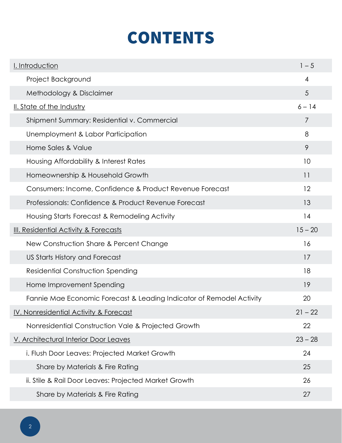## CONTENTS

| <u>I. Introduction</u>                                               | $1 - 5$        |
|----------------------------------------------------------------------|----------------|
| Project Background                                                   | $\overline{4}$ |
| Methodology & Disclaimer                                             | 5              |
| <b>II. State of the Industry</b>                                     | $6 - 14$       |
| Shipment Summary: Residential v. Commercial                          | 7              |
| Unemployment & Labor Participation                                   | 8              |
| Home Sales & Value                                                   | 9              |
| Housing Affordability & Interest Rates                               | 10             |
| Homeownership & Household Growth                                     | 11             |
| Consumers: Income, Confidence & Product Revenue Forecast             | 12             |
| Professionals: Confidence & Product Revenue Forecast                 | 13             |
| Housing Starts Forecast & Remodeling Activity                        | 14             |
| <b>III. Residential Activity &amp; Forecasts</b>                     | $15 - 20$      |
| New Construction Share & Percent Change                              | 16             |
| US Starts History and Forecast                                       | 17             |
| <b>Residential Construction Spending</b>                             | 18             |
| Home Improvement Spending                                            | 19             |
| Fannie Mae Economic Forecast & Leading Indicator of Remodel Activity | 20             |
| IV. Nonresidential Activity & Forecast                               | $21 - 22$      |
| Nonresidential Construction Vale & Projected Growth                  | 22             |
| V. Architectural Interior Door Leaves                                | $23 - 28$      |
| i. Flush Door Leaves: Projected Market Growth                        | 24             |
| Share by Materials & Fire Rating                                     | 25             |
| ii. Stile & Rail Door Leaves: Projected Market Growth                | 26             |
| Share by Materials & Fire Rating                                     | 27             |